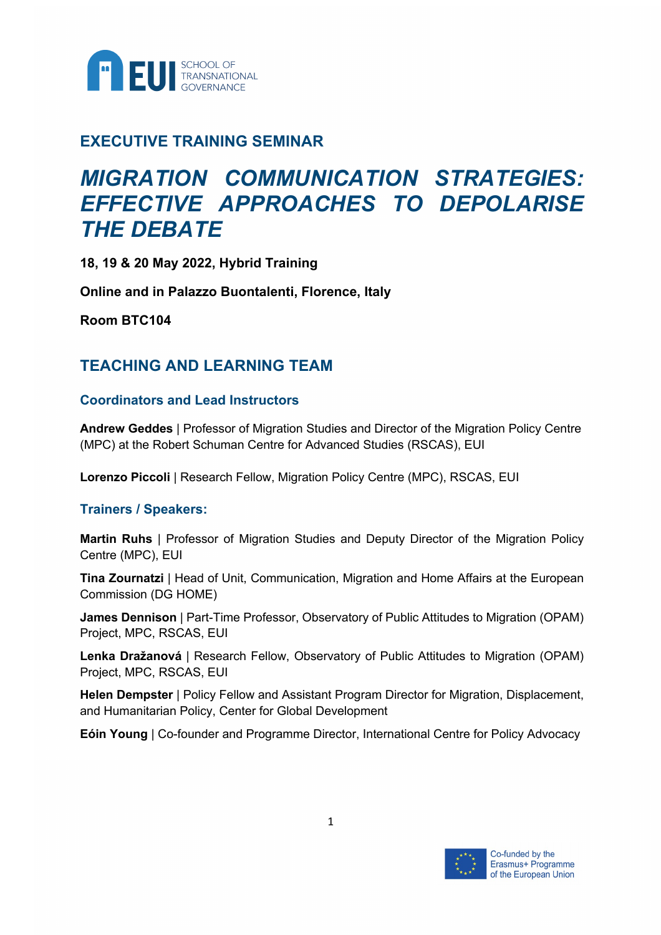

# **EXECUTIVE TRAINING SEMINAR**

# *MIGRATION COMMUNICATION STRATEGIES: EFFECTIVE APPROACHES TO DEPOLARISE THE DEBATE*

**18, 19 & 20 May 2022, Hybrid Training**

**Online and in Palazzo Buontalenti, Florence, Italy**

**Room BTC104**

# **TEACHING AND LEARNING TEAM**

# **Coordinators and Lead Instructors**

**Andrew Geddes** | Professor of Migration Studies and Director of the Migration Policy Centre (MPC) at the Robert Schuman Centre for Advanced Studies (RSCAS), EUI

**Lorenzo Piccoli** | Research Fellow, Migration Policy Centre (MPC), RSCAS, EUI

# **Trainers / Speakers:**

**Martin Ruhs** | Professor of Migration Studies and Deputy Director of the Migration Policy Centre (MPC), EUI

**Tina Zournatzi** | Head of Unit, Communication, Migration and Home Affairs at the European Commission (DG HOME)

**James Dennison** | Part-Time Professor, Observatory of Public Attitudes to Migration (OPAM) Project, MPC, RSCAS, EUI

**Lenka Dražanová** | Research Fellow, Observatory of Public Attitudes to Migration (OPAM) Project, MPC, RSCAS, EUI

**Helen Dempster** | Policy Fellow and Assistant Program Director for Migration, Displacement, and Humanitarian Policy, Center for Global Development

**Eóin Young** | Co-founder and Programme Director, International Centre for Policy Advocacy

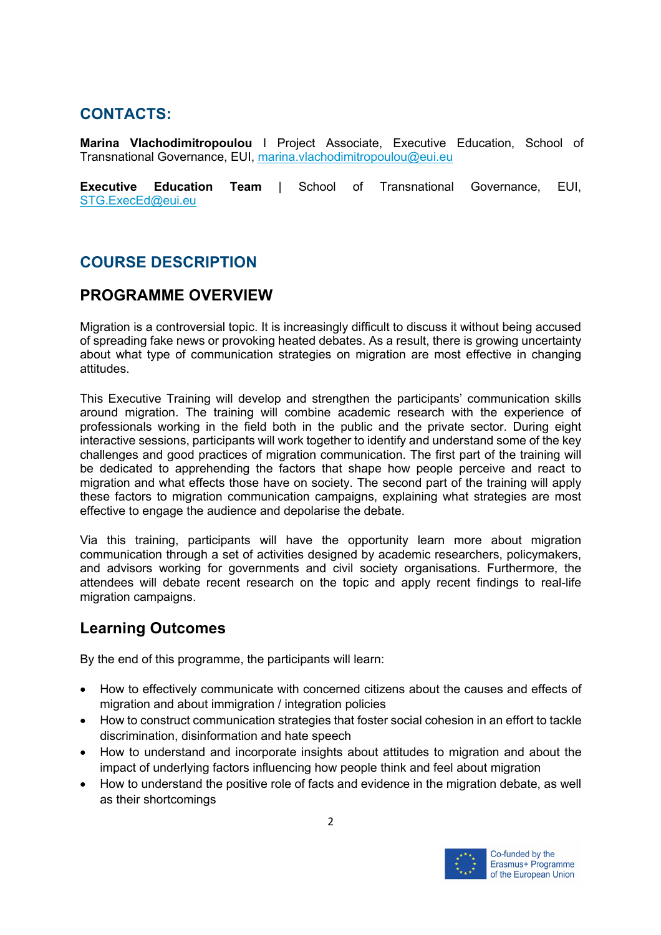# **CONTACTS:**

**Marina Vlachodimitropoulou** I Project Associate, Executive Education, School of Transnational Governance, EUI, marina.vlachodimitropoulou@eui.eu

**Executive Education Team** | School of Transnational Governance, EUI, STG.ExecEd@eui.eu

# **COURSE DESCRIPTION**

# **PROGRAMME OVERVIEW**

Migration is a controversial topic. It is increasingly difficult to discuss it without being accused of spreading fake news or provoking heated debates. As a result, there is growing uncertainty about what type of communication strategies on migration are most effective in changing attitudes.

This Executive Training will develop and strengthen the participants' communication skills around migration. The training will combine academic research with the experience of professionals working in the field both in the public and the private sector. During eight interactive sessions, participants will work together to identify and understand some of the key challenges and good practices of migration communication. The first part of the training will be dedicated to apprehending the factors that shape how people perceive and react to migration and what effects those have on society. The second part of the training will apply these factors to migration communication campaigns, explaining what strategies are most effective to engage the audience and depolarise the debate.

Via this training, participants will have the opportunity learn more about migration communication through a set of activities designed by academic researchers, policymakers, and advisors working for governments and civil society organisations. Furthermore, the attendees will debate recent research on the topic and apply recent findings to real-life migration campaigns.

# **Learning Outcomes**

By the end of this programme, the participants will learn:

- How to effectively communicate with concerned citizens about the causes and effects of migration and about immigration / integration policies
- How to construct communication strategies that foster social cohesion in an effort to tackle discrimination, disinformation and hate speech
- How to understand and incorporate insights about attitudes to migration and about the impact of underlying factors influencing how people think and feel about migration
- How to understand the positive role of facts and evidence in the migration debate, as well as their shortcomings

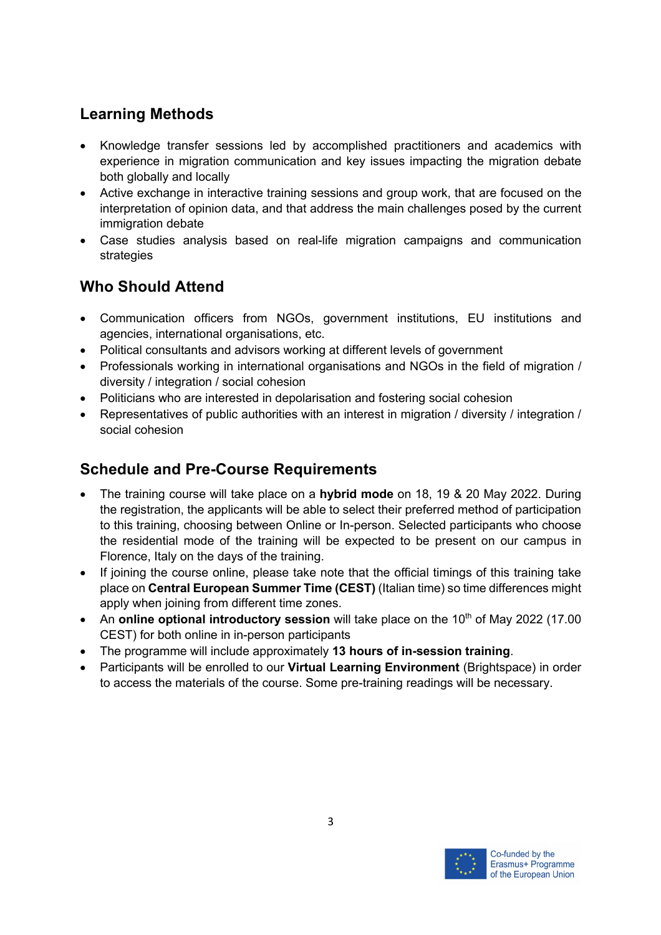# **Learning Methods**

- Knowledge transfer sessions led by accomplished practitioners and academics with experience in migration communication and key issues impacting the migration debate both globally and locally
- Active exchange in interactive training sessions and group work, that are focused on the interpretation of opinion data, and that address the main challenges posed by the current immigration debate
- Case studies analysis based on real-life migration campaigns and communication strategies

# **Who Should Attend**

- Communication officers from NGOs, government institutions, EU institutions and agencies, international organisations, etc.
- Political consultants and advisors working at different levels of government
- Professionals working in international organisations and NGOs in the field of migration / diversity / integration / social cohesion
- Politicians who are interested in depolarisation and fostering social cohesion
- Representatives of public authorities with an interest in migration / diversity / integration / social cohesion

# **Schedule and Pre-Course Requirements**

- The training course will take place on a **hybrid mode** on 18, 19 & 20 May 2022. During the registration, the applicants will be able to select their preferred method of participation to this training, choosing between Online or In-person. Selected participants who choose the residential mode of the training will be expected to be present on our campus in Florence, Italy on the days of the training.
- If joining the course online, please take note that the official timings of this training take place on **Central European Summer Time (CEST)** (Italian time) so time differences might apply when joining from different time zones.
- An **online optional introductory session** will take place on the 10<sup>th</sup> of May 2022 (17.00 CEST) for both online in in-person participants
- The programme will include approximately **13 hours of in-session training**.
- Participants will be enrolled to our **Virtual Learning Environment** (Brightspace) in order to access the materials of the course. Some pre-training readings will be necessary.

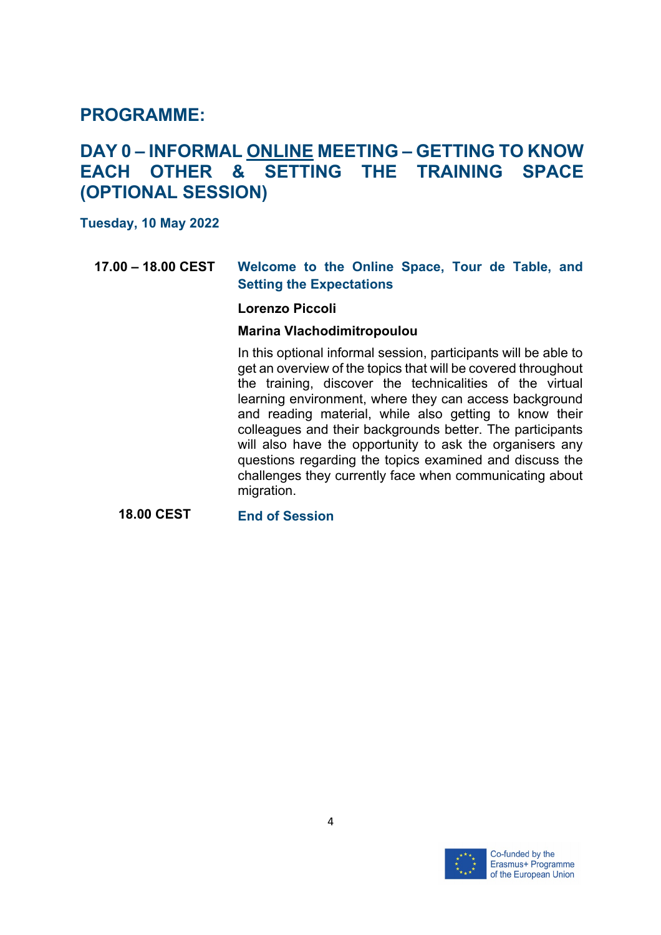# **PROGRAMME:**

# **DAY 0 – INFORMAL ONLINE MEETING – GETTING TO KNOW EACH OTHER & SETTING THE TRAINING SPACE (OPTIONAL SESSION)**

**Tuesday, 10 May 2022**

## **17.00 – 18.00 CEST Welcome to the Online Space, Tour de Table, and Setting the Expectations**

### **Lorenzo Piccoli**

### **Marina Vlachodimitropoulou**

In this optional informal session, participants will be able to get an overview of the topics that will be covered throughout the training, discover the technicalities of the virtual learning environment, where they can access background and reading material, while also getting to know their colleagues and their backgrounds better. The participants will also have the opportunity to ask the organisers any questions regarding the topics examined and discuss the challenges they currently face when communicating about migration.

## **18.00 CEST End of Session**

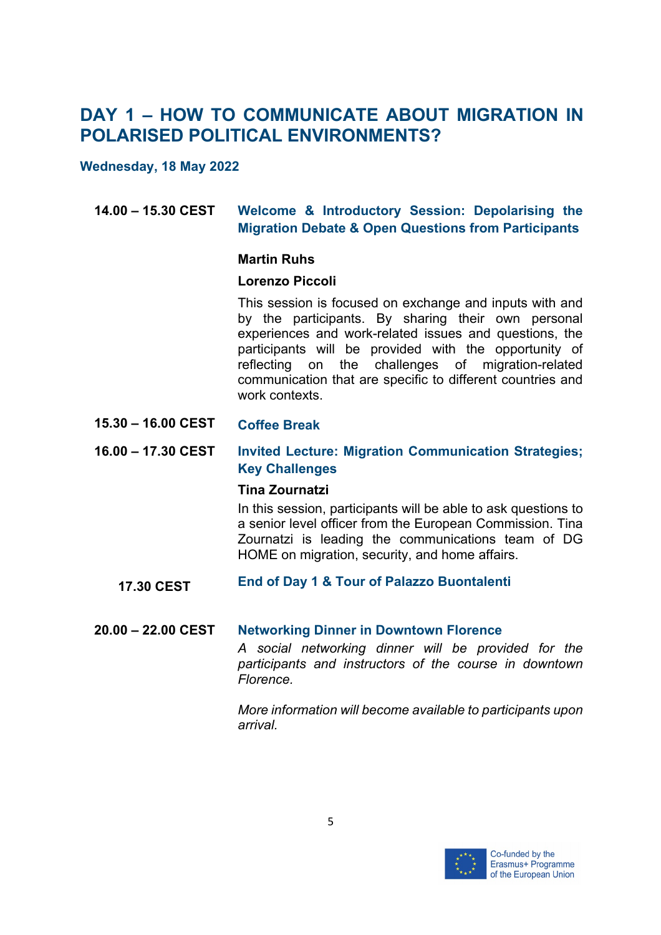# **DAY 1 – HOW TO COMMUNICATE ABOUT MIGRATION IN POLARISED POLITICAL ENVIRONMENTS?**

### **Wednesday, 18 May 2022**

# **14.00 – 15.30 CEST Welcome & Introductory Session: Depolarising the Migration Debate & Open Questions from Participants**

### **Martin Ruhs**

### **Lorenzo Piccoli**

This session is focused on exchange and inputs with and by the participants. By sharing their own personal experiences and work-related issues and questions, the participants will be provided with the opportunity of reflecting on the challenges of migration-related communication that are specific to different countries and work contexts.

### **15.30 – 16.00 CEST Coffee Break**

### **16.00 – 17.30 CEST Invited Lecture: Migration Communication Strategies; Key Challenges**

#### **Tina Zournatzi**

In this session, participants will be able to ask questions to a senior level officer from the European Commission. Tina Zournatzi is leading the communications team of DG HOME on migration, security, and home affairs.

# **17.30 CEST End of Day 1 & Tour of Palazzo Buontalenti**

### **20.00 – 22.00 CEST Networking Dinner in Downtown Florence**

*A social networking dinner will be provided for the participants and instructors of the course in downtown Florence.*

*More information will become available to participants upon arrival.* 

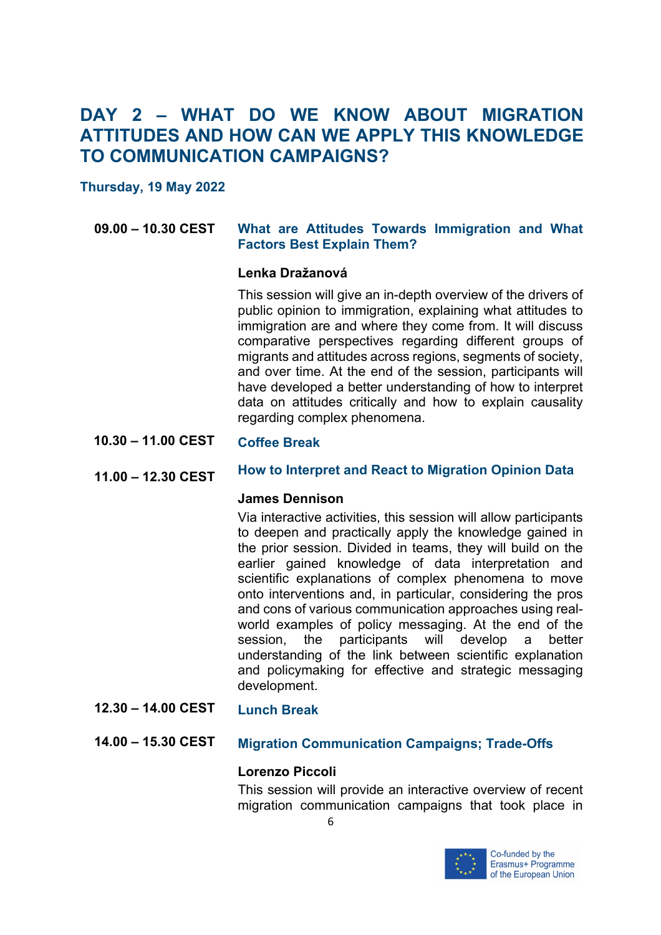# **DAY 2 – WHAT DO WE KNOW ABOUT MIGRATION ATTITUDES AND HOW CAN WE APPLY THIS KNOWLEDGE TO COMMUNICATION CAMPAIGNS?**

**Thursday, 19 May 2022**

### **09.00 – 10.30 CEST What are Attitudes Towards Immigration and What Factors Best Explain Them?**

### **Lenka Dražanová**

This session will give an in-depth overview of the drivers of public opinion to immigration, explaining what attitudes to immigration are and where they come from. It will discuss comparative perspectives regarding different groups of migrants and attitudes across regions, segments of society, and over time. At the end of the session, participants will have developed a better understanding of how to interpret data on attitudes critically and how to explain causality regarding complex phenomena.

- **10.30 – 11.00 CEST Coffee Break**
- **11.00 – 12.30 CEST How to Interpret and React to Migration Opinion Data**

#### **James Dennison**

Via interactive activities, this session will allow participants to deepen and practically apply the knowledge gained in the prior session. Divided in teams, they will build on the earlier gained knowledge of data interpretation and scientific explanations of complex phenomena to move onto interventions and, in particular, considering the pros and cons of various communication approaches using realworld examples of policy messaging. At the end of the session, the participants will develop a better understanding of the link between scientific explanation and policymaking for effective and strategic messaging development.

- **12.30 – 14.00 CEST Lunch Break**
- **14.00 – 15.30 CEST Migration Communication Campaigns; Trade-Offs**

### **Lorenzo Piccoli**

This session will provide an interactive overview of recent migration communication campaigns that took place in

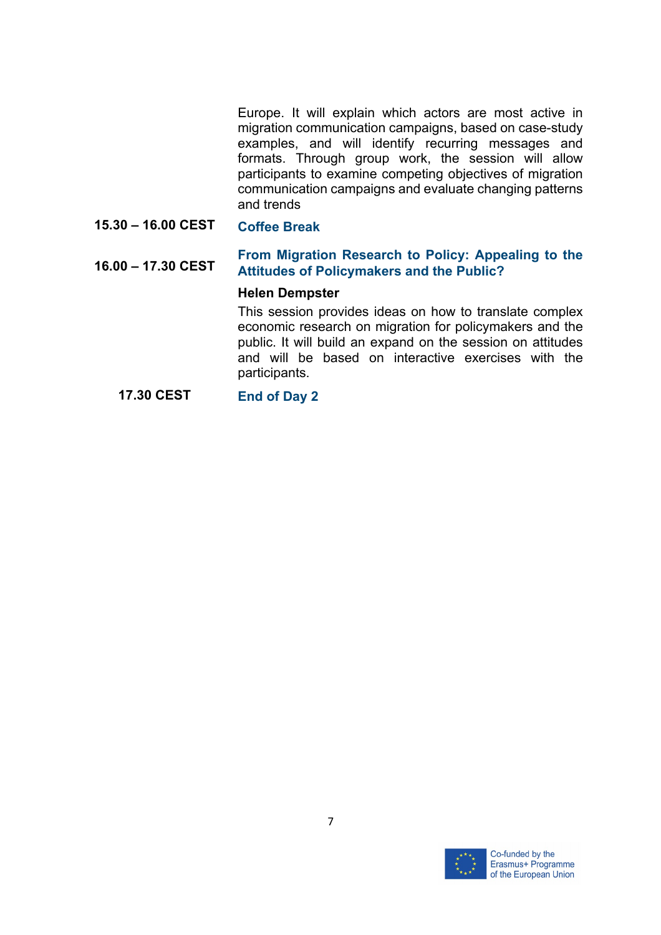Europe. It will explain which actors are most active in migration communication campaigns, based on case-study examples, and will identify recurring messages and formats. Through group work, the session will allow participants to examine competing objectives of migration communication campaigns and evaluate changing patterns and trends

### **15.30 – 16.00 CEST Coffee Break**

#### **16.00 – 17.30 CEST From Migration Research to Policy: Appealing to the Attitudes of Policymakers and the Public?**

#### **Helen Dempster**

This session provides ideas on how to translate complex economic research on migration for policymakers and the public. It will build an expand on the session on attitudes and will be based on interactive exercises with the participants.

# **17.30 CEST End of Day 2**